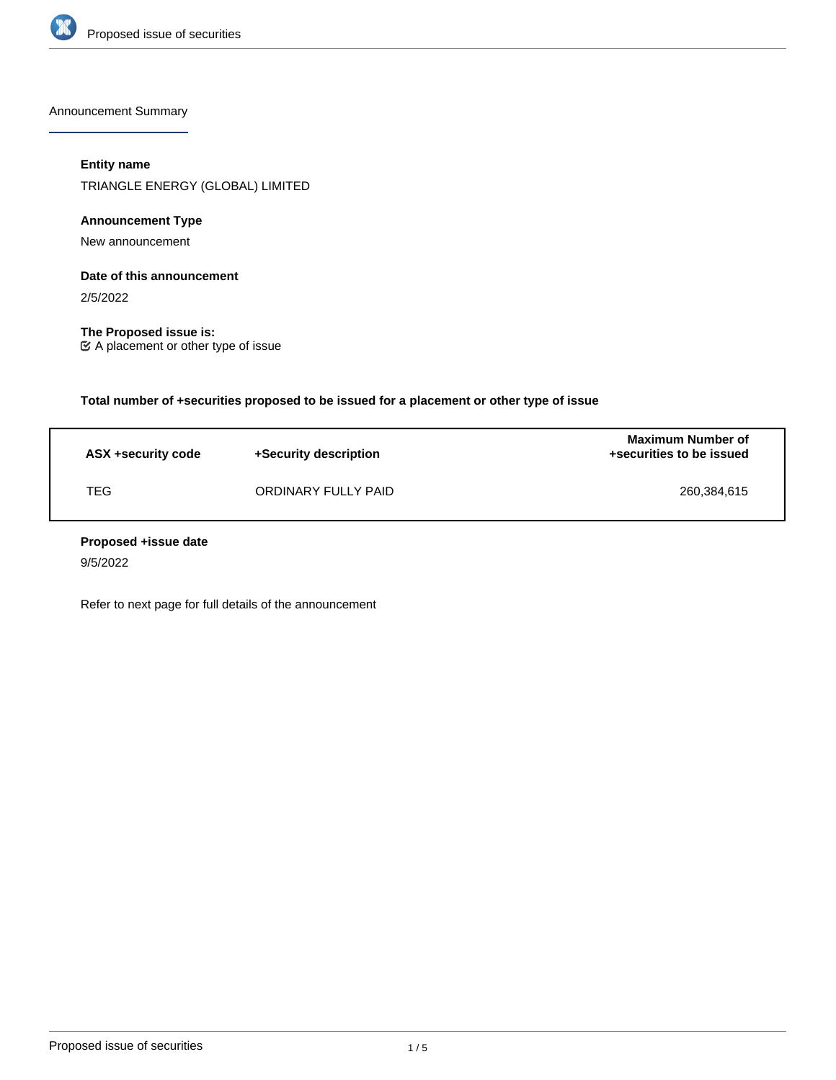

Announcement Summary

# **Entity name**

TRIANGLE ENERGY (GLOBAL) LIMITED

# **Announcement Type**

New announcement

# **Date of this announcement**

2/5/2022

**The Proposed issue is:** A placement or other type of issue

**Total number of +securities proposed to be issued for a placement or other type of issue**

| ASX +security code | +Security description | <b>Maximum Number of</b><br>+securities to be issued |
|--------------------|-----------------------|------------------------------------------------------|
| TEG                | ORDINARY FULLY PAID   | 260,384,615                                          |

## **Proposed +issue date**

9/5/2022

Refer to next page for full details of the announcement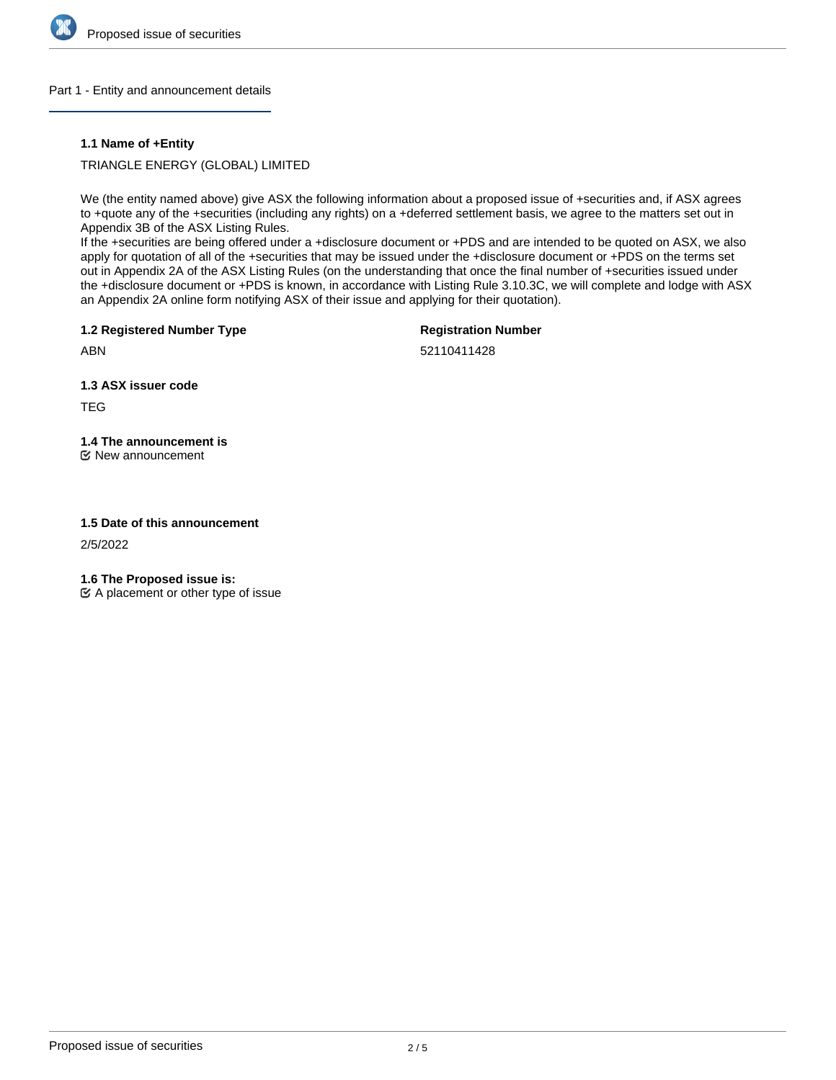

## Part 1 - Entity and announcement details

## **1.1 Name of +Entity**

TRIANGLE ENERGY (GLOBAL) LIMITED

We (the entity named above) give ASX the following information about a proposed issue of +securities and, if ASX agrees to +quote any of the +securities (including any rights) on a +deferred settlement basis, we agree to the matters set out in Appendix 3B of the ASX Listing Rules.

If the +securities are being offered under a +disclosure document or +PDS and are intended to be quoted on ASX, we also apply for quotation of all of the +securities that may be issued under the +disclosure document or +PDS on the terms set out in Appendix 2A of the ASX Listing Rules (on the understanding that once the final number of +securities issued under the +disclosure document or +PDS is known, in accordance with Listing Rule 3.10.3C, we will complete and lodge with ASX an Appendix 2A online form notifying ASX of their issue and applying for their quotation).

**1.2 Registered Number Type**

**Registration Number**

ABN

52110411428

**1.3 ASX issuer code**

TEG

# **1.4 The announcement is**

New announcement

## **1.5 Date of this announcement**

2/5/2022

**1.6 The Proposed issue is:**

 $\mathfrak{C}$  A placement or other type of issue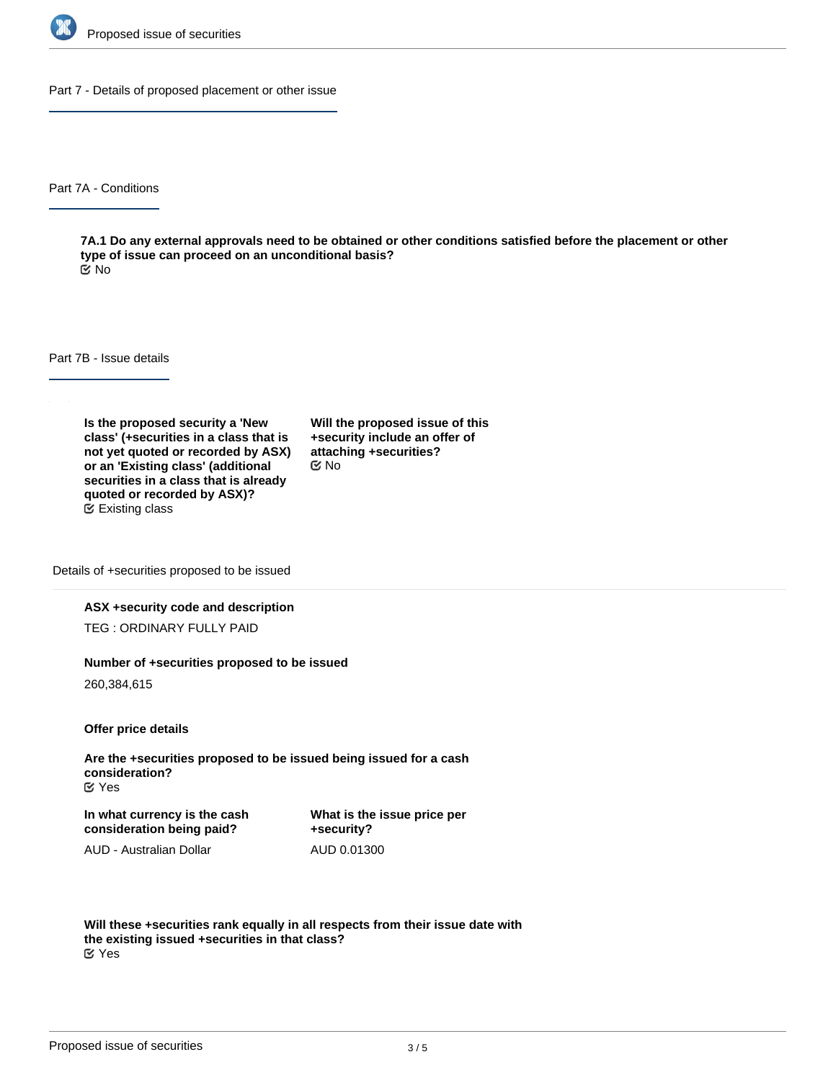

Part 7 - Details of proposed placement or other issue

Part 7A - Conditions

**7A.1 Do any external approvals need to be obtained or other conditions satisfied before the placement or other type of issue can proceed on an unconditional basis?** No

Part 7B - Issue details

**Is the proposed security a 'New class' (+securities in a class that is not yet quoted or recorded by ASX) or an 'Existing class' (additional securities in a class that is already quoted or recorded by ASX)?** Existing class

**Will the proposed issue of this +security include an offer of attaching +securities?** No

Details of +securities proposed to be issued

## **ASX +security code and description**

TEG : ORDINARY FULLY PAID

#### **Number of +securities proposed to be issued**

260,384,615

**Offer price details**

**Are the +securities proposed to be issued being issued for a cash consideration?** Yes

**In what currency is the cash consideration being paid?**

**What is the issue price per +security?** AUD 0.01300

AUD - Australian Dollar

**Will these +securities rank equally in all respects from their issue date with the existing issued +securities in that class?** Yes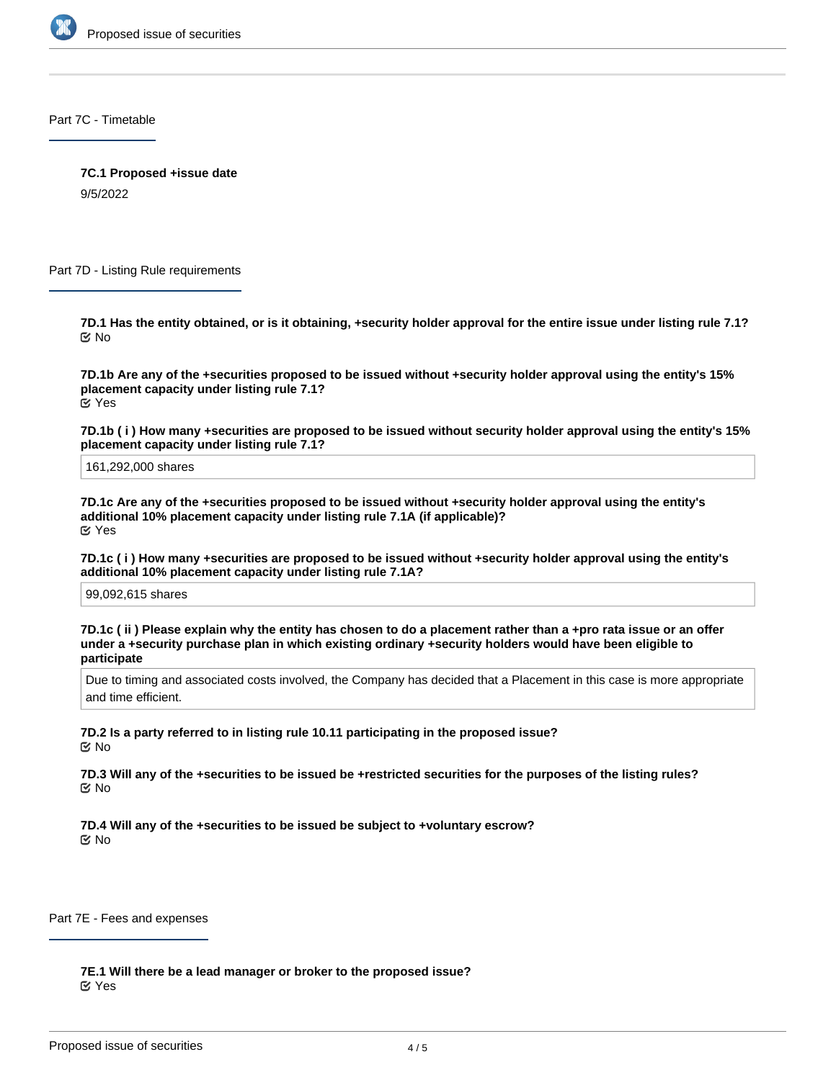

Part 7C - Timetable

**7C.1 Proposed +issue date**

9/5/2022

Part 7D - Listing Rule requirements

**7D.1 Has the entity obtained, or is it obtaining, +security holder approval for the entire issue under listing rule 7.1?** No

**7D.1b Are any of the +securities proposed to be issued without +security holder approval using the entity's 15% placement capacity under listing rule 7.1?** Yes

**7D.1b ( i ) How many +securities are proposed to be issued without security holder approval using the entity's 15% placement capacity under listing rule 7.1?**

161,292,000 shares

**7D.1c Are any of the +securities proposed to be issued without +security holder approval using the entity's additional 10% placement capacity under listing rule 7.1A (if applicable)?** Yes

**7D.1c ( i ) How many +securities are proposed to be issued without +security holder approval using the entity's additional 10% placement capacity under listing rule 7.1A?**

99,092,615 shares

**7D.1c ( ii ) Please explain why the entity has chosen to do a placement rather than a +pro rata issue or an offer under a +security purchase plan in which existing ordinary +security holders would have been eligible to participate**

Due to timing and associated costs involved, the Company has decided that a Placement in this case is more appropriate and time efficient.

**7D.2 Is a party referred to in listing rule 10.11 participating in the proposed issue?** No

**7D.3 Will any of the +securities to be issued be +restricted securities for the purposes of the listing rules?** No

**7D.4 Will any of the +securities to be issued be subject to +voluntary escrow?** No

Part 7E - Fees and expenses

**7E.1 Will there be a lead manager or broker to the proposed issue?** Yes